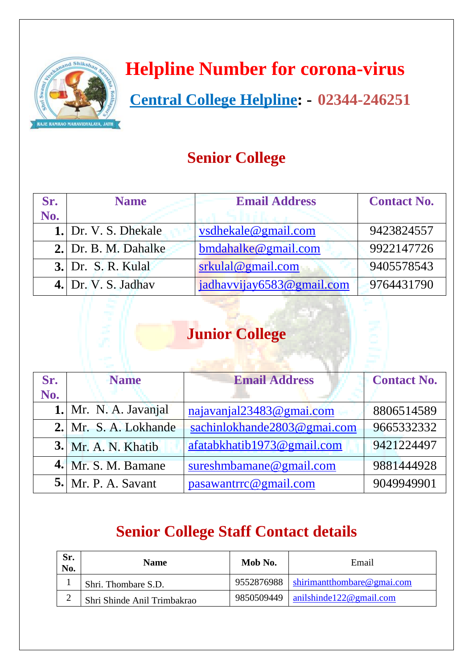

## **Helpline Number for corona-virus**

 **Central College Helpline: - 02344-246251**

### **Senior College**

| Sr. | <b>Name</b>               | <b>Email Address</b>      | <b>Contact No.</b> |
|-----|---------------------------|---------------------------|--------------------|
| No. |                           |                           |                    |
|     | 1. Dr. V. S. Dhekale      | vsdhekale@gmail.com       | 9423824557         |
|     | 2. Dr. B. M. Dahalke      | $bmd$ ahalke@gmail.com    | 9922147726         |
|     | <b>3.</b> Dr. S. R. Kulal | $srkula$ l $@gmail.com$   | 9405578543         |
|     | 4. Dr. V. S. Jadhav       | jadhavvijay6583@gmail.com | 9764431790         |

### **Junior College**

| Sr. | <b>Name</b>                | <b>Email Address</b>        | <b>Contact No.</b> |
|-----|----------------------------|-----------------------------|--------------------|
| No. |                            |                             |                    |
|     | 1. Mr. N. A. Javanjal      | najavanjal23483@gmai.com    | 8806514589         |
|     | 2. Mr. S. A. Lokhande      | sachinlokhande2803@gmai.com | 9665332332         |
|     | <b>3.</b> Mr. A. N. Khatib | afatabkhatib1973@gmail.com  | 9421224497         |
|     | $4.$ Mr. S. M. Bamane      | sureshmbamane@gmail.com     | 9881444928         |
|     | <b>5.</b> Mr. P. A. Savant | pasawantrrc@gmail.com       | 9049949901         |

#### **Senior College Staff Contact details**

| Sr.<br>No. | <b>Name</b>                 | Mob No.    | Email                                   |
|------------|-----------------------------|------------|-----------------------------------------|
|            | Shri. Thombare S.D.         |            | 9552876988   shirimantthombare@gmai.com |
|            | Shri Shinde Anil Trimbakrao | 9850509449 | $\sinh(\theta) = 122$ email.com         |